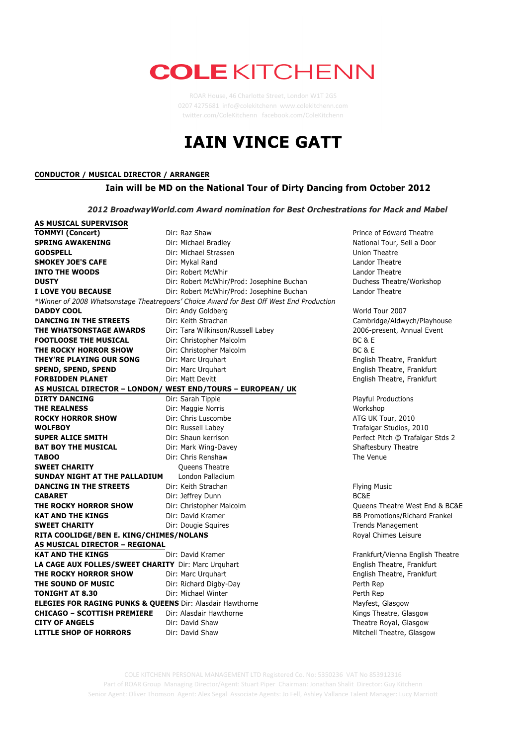## **COLE KITCHENN**

ROAR House, 46 Charlotte Street, London W1T 2GS 0207 4275681 info@colekitchenn www.colekitchenn.com twitter.com/ColeKitchenn facebook.com/ColeKitchenn

## **IAIN VINCE GATT**



COLE KITCHENN PERSONAL MANAGEMENT LTD Registered Co. No: 5350236 VAT No 853912316 Part of ROAR Group Managing Director/Agent: Stuart Piper Chairman: Jonathan Shalit Director: Guy Kitchenn Senior Agent: Oliver Thomson Agent: Alex Segal Associate Agents: Jo Fell, Ashley Vallance Talent Manager: Lucy Marriott